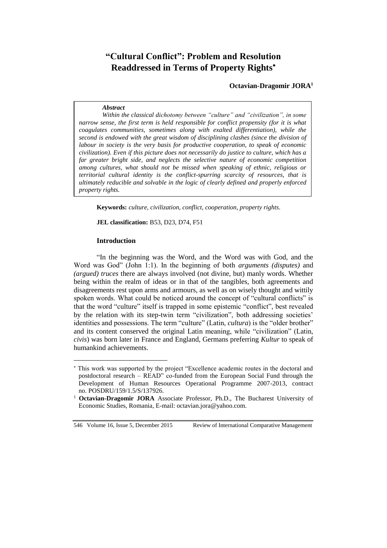# **"Cultural Conflict": Problem and Resolution Readdressed in Terms of Property Rights**

**Octavian-Dragomir JORA<sup>1</sup>**

#### *Abstract*

*Within the classical dichotomy between "culture" and "civilization", in some narrow sense, the first term is held responsible for conflict propensity (for it is what coagulates communities, sometimes along with exalted differentiation), while the second is endowed with the great wisdom of disciplining clashes (since the division of labour in society is the very basis for productive cooperation, to speak of economic civilization). Even if this picture does not necessarily do justice to culture, which has a far greater bright side, and neglects the selective nature of economic competition among cultures, what should not be missed when speaking of ethnic, religious or territorial cultural identity is the conflict-spurring scarcity of resources, that is ultimately reducible and solvable in the logic of clearly defined and properly enforced property rights.*

**Keywords:** *culture, civilization, conflict, cooperation, property rights.*

**JEL classification:** B53, D23, D74, F51

#### **Introduction**

"In the beginning was the Word, and the Word was with God, and the Word was God" (John 1:1). In the beginning of both *arguments (disputes)* and *(argued) truces* there are always involved (not divine, but) manly words. Whether being within the realm of ideas or in that of the tangibles, both agreements and disagreements rest upon arms and armours, as well as on wisely thought and wittily spoken words. What could be noticed around the concept of "cultural conflicts" is that the word "culture" itself is trapped in some epistemic "conflict", best revealed by the relation with its step-twin term "civilization", both addressing societies' identities and possessions. The term "culture" (Latin, *cultura*) is the "older brother" and its content conserved the original Latin meaning, while "civilization" (Latin, *civis*) was born later in France and England, Germans preferring *Kultur* to speak of humankind achievements.

 $\overline{a}$ 

This work was supported by the project "Excellence academic routes in the doctoral and postdoctoral research – READ" co-funded from the European Social Fund through the Development of Human Resources Operational Programme 2007-2013, contract no. POSDRU/159/1.5/S/137926.

<sup>1</sup> **Octavian-Dragomir JORA** Associate Professor, Ph.D., The Bucharest University of Economic Studies, Romania, E-mail: [octavian.jora@yahoo.com.](mailto:octavian.jora@yahoo.com)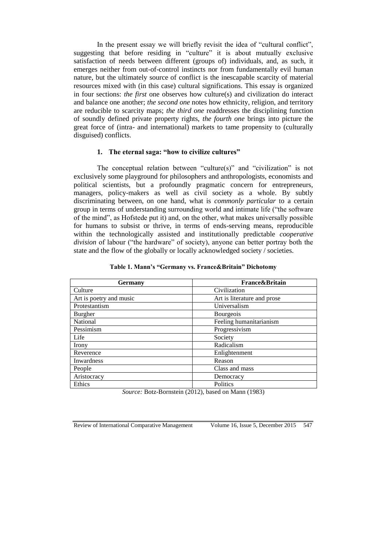In the present essay we will briefly revisit the idea of "cultural conflict", suggesting that before residing in "culture" it is about mutually exclusive satisfaction of needs between different (groups of) individuals, and, as such, it emerges neither from out-of-control instincts nor from fundamentally evil human nature, but the ultimately source of conflict is the inescapable scarcity of material resources mixed with (in this case) cultural significations. This essay is organized in four sections: *the first* one observes how culture(s) and civilization do interact and balance one another; *the second one* notes how ethnicity, religion, and territory are reducible to scarcity maps; *the third one* readdresses the disciplining function of soundly defined private property rights, *the fourth one* brings into picture the great force of (intra- and international) markets to tame propensity to (culturally disguised) conflicts.

#### **1. The eternal saga: "how to civilize cultures"**

The conceptual relation between "culture(s)" and "civilization" is not exclusively some playground for philosophers and anthropologists, economists and political scientists, but a profoundly pragmatic concern for entrepreneurs, managers, policy-makers as well as civil society as a whole. By subtly discriminating between, on one hand, what is *commonly particular* to a certain group in terms of understanding surrounding world and intimate life ("the software of the mind", as Hofstede put it) and, on the other, what makes universally possible for humans to subsist or thrive, in terms of ends-serving means, reproducible within the technologically assisted and institutionally predictable *cooperative division* of labour ("the hardware" of society), anyone can better portray both the state and the flow of the globally or locally acknowledged society / societies.

| Germany                 | <b>France&amp;Britain</b>   |
|-------------------------|-----------------------------|
| Culture                 | Civilization                |
| Art is poetry and music | Art is literature and prose |
| Protestantism           | Universalism                |
| Burgher                 | Bourgeois                   |
| National                | Feeling humanitarianism     |
| Pessimism               | Progressivism               |
| Life                    | Society                     |
| Irony                   | Radicalism                  |
| Reverence               | Enlightenment               |
| Inwardness              | Reason                      |
| People                  | Class and mass              |
| Aristocracy             | Democracy                   |
| Ethics                  | Politics<br>.               |

#### **Table 1. Mann's "Germany vs. France&Britain" Dichotomy**

*Source:* Botz-Bornstein (2012), based on Mann (1983)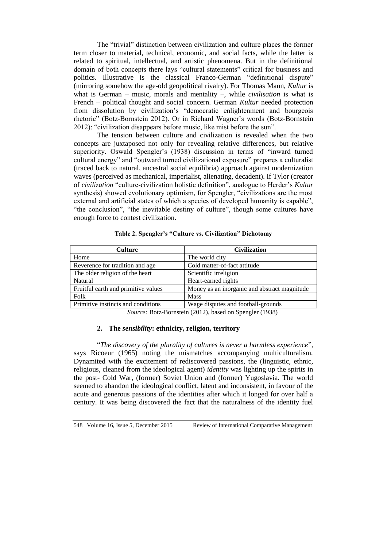The "trivial" distinction between civilization and culture places the former term closer to material, technical, economic, and social facts, while the latter is related to spiritual, intellectual, and artistic phenomena. But in the definitional domain of both concepts there lays "cultural statements" critical for business and politics. Illustrative is the classical Franco-German "definitional dispute" (mirroring somehow the age-old geopolitical rivalry). For Thomas Mann, *Kultur* is what is German – music, morals and mentality –, while *civilisation* is what is French – political thought and social concern. German *Kultur* needed protection from dissolution by civilization's "democratic enlightenment and bourgeois rhetoric" (Botz-Bornstein 2012). Or in Richard Wagner's words (Botz-Bornstein 2012): "civilization disappears before music, like mist before the sun".

The tension between culture and civilization is revealed when the two concepts are juxtaposed not only for revealing relative differences, but relative superiority. Oswald Spengler's (1938) discussion in terms of "inward turned cultural energy" and "outward turned civilizational exposure" prepares a culturalist (traced back to natural, ancestral social equilibria) approach against modernization waves (perceived as mechanical, imperialist, alienating, decadent). If Tylor (creator of *civilization* "culture-civilization holistic definition", analogue to Herder's *Kultur* synthesis) showed evolutionary optimism, for Spengler, "civilizations are the most external and artificial states of which a species of developed humanity is capable", "the conclusion", "the inevitable destiny of culture", though some cultures have enough force to contest civilization.

| <b>Culture</b>                                | <b>Civilization</b>                          |
|-----------------------------------------------|----------------------------------------------|
| Home                                          | The world city                               |
| Reverence for tradition and age               | Cold matter-of-fact attitude                 |
| The older religion of the heart               | Scientific irreligion                        |
| Natural                                       | Heart-earned rights                          |
| Fruitful earth and primitive values           | Money as an inorganic and abstract magnitude |
| Folk                                          | <b>Mass</b>                                  |
| Primitive instincts and conditions            | Wage disputes and football-grounds           |
| $(1.40010)$ $(1.0010)$<br>$\alpha$ n $\alpha$ |                                              |

#### **Table 2. Spengler's "Culture vs. Civilization" Dichotomy**

*Source:* Botz-Bornstein (2012), based on Spengler (1938)

### **2. The** *sensibility***: ethnicity, religion, territory**

"*The discovery of the plurality of cultures is never a harmless experience*", says Ricoeur (1965) noting the mismatches accompanying multiculturalism. Dynamited with the excitement of rediscovered passions, the (linguistic, ethnic, religious, cleaned from the ideological agent) *identity* was lighting up the spirits in the post- Cold War, (former) Soviet Union and (former) Yugoslavia. The world seemed to abandon the ideological conflict, latent and inconsistent, in favour of the acute and generous passions of the identities after which it longed for over half a century. It was being discovered the fact that the naturalness of the identity fuel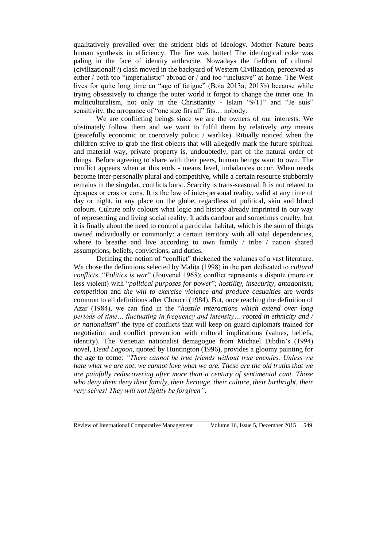qualitatively prevailed over the strident bids of ideology. Mother Nature beats human synthesis in efficiency. The fire was hotter! The ideological coke was paling in the face of identity anthracite. Nowadays the fiefdom of cultural (civilizational!?) clash moved in the backyard of Western Civilization, perceived as either / both too "imperialistic" abroad or / and too "inclusive" at home. The West lives for quite long time an "age of fatigue" (Boia 2013a; 2013b) because while trying obsessively to change the outer world it forgot to change the inner one. In multiculturalism, not only in the Christianity - Islam "9/11" and "Je suis" sensitivity, the arrogance of "one size fits all" fits… nobody.

We are conflicting beings since we are the owners of our interests. We obstinately follow them and we want to fulfil them by relatively *any* means (peacefully economic or coercively politic / warlike). Ritually noticed when the children strive to grab the first objects that will allegedly mark the future spiritual and material way, private property is, undoubtedly, part of the natural order of things. Before agreeing to share with their peers, human beings want to own. The conflict appears when at this ends - means level, imbalances occur. When needs become inter-personally plural and competitive, while a certain resource stubbornly remains in the singular, conflicts burst. Scarcity is trans-seasonal. It is not related to époques or eras or eons. It is the law of inter-personal reality, valid at any time of day or night, in any place on the globe, regardless of political, skin and blood colours. Culture only colours what logic and history already imprinted in our way of representing and living social reality. It adds candour and sometimes cruelty, but it is finally about the need to control a particular habitat, which is the sum of things owned individually or commonly: a certain territory with all vital dependencies, where to breathe and live according to own family / tribe / nation shared assumptions, beliefs, convictions, and duties.

Defining the notion of "conflict" thickened the volumes of a vast literature. We chose the definitions selected by Malița (1998) in the part dedicated to *cultural conflicts*. "*Politics is war*" (Jouvenel 1965); conflict represents a dispute (more or less violent) with "*political purposes for power*"; *hostility, insecurity, antagonism, competition* and *the will to exercise violence and produce casualties* are words common to all definitions after Choucri (1984). But, once reaching the definition of Azar (1984), we can find in the "*hostile interactions which extend over long periods of time… fluctuating in frequency and intensity… rooted in ethnicity and / or nationalism*" the type of conflicts that will keep on guard diplomats trained for negotiation and conflict prevention with cultural implications (values, beliefs, identity). The Venetian nationalist demagogue from Michael Dibdin's (1994) novel, *Dead Lagoon*, quoted by Huntington (1996), provides a gloomy painting for the age to come: *"There cannot be true friends without true enemies. Unless we hate what we are not, we cannot love what we are. These are the old truths that we are painfully rediscovering after more than a century of sentimental cant. Those who deny them deny their family, their heritage, their culture, their birthright, their very selves! They will not lightly be forgiven"*.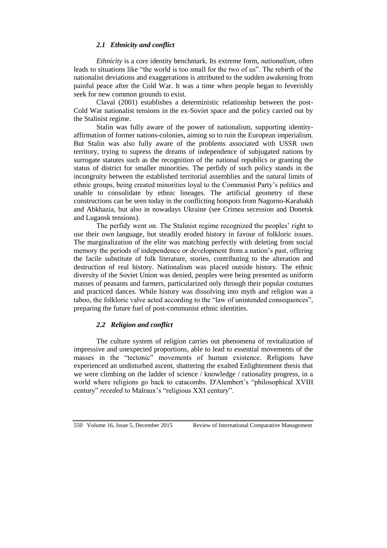### *2.1 Ethnicity and conflict*

*Ethnicity* is a core identity benchmark. Its extreme form, *nationalism*, often leads to situations like "the world is too small for the two of us". The rebirth of the nationalist deviations and exaggerations is attributed to the sudden awakening from painful peace after the Cold War. It was a time when people began to feverishly seek for new common grounds to exist.

Claval (2001) establishes a deterministic relationship between the post-Cold War nationalist tensions in the ex-Soviet space and the policy carried out by the Stalinist regime.

Stalin was fully aware of the power of nationalism, supporting identityaffirmation of former nations-colonies, aiming so to ruin the European imperialism. But Stalin was also fully aware of the problems associated with USSR own territory, trying to supress the dreams of independence of subjugated nations by surrogate statutes such as the recognition of the national republics or granting the status of district for smaller minorities. The perfidy of such policy stands in the incongruity between the established territorial assemblies and the natural limits of ethnic groups, being created minorities loyal to the Communist Party's politics and unable to consolidate by ethnic lineages. The artificial geometry of these constructions can be seen today in the conflicting hotspots from Nagorno-Karabakh and Abkhazia, but also in nowadays Ukraine (see Crimea secession and Donetsk and Lugansk tensions).

The perfidy went on. The Stalinist regime recognized the peoples' right to use their own language, but steadily eroded history in favour of folkloric issues. The marginalization of the elite was matching perfectly with deleting from social memory the periods of independence or development from a nation's past, offering the facile substitute of folk literature, stories, contributing to the alteration and destruction of real history. Nationalism was placed outside history. The ethnic diversity of the Soviet Union was denied, peoples were being presented as uniform masses of peasants and farmers, particularized only through their popular costumes and practiced dances. While history was dissolving into myth and religion was a taboo, the folkloric valve acted according to the "law of unintended consequences", preparing the future fuel of post-communist ethnic identities.

## *2.2 Religion and conflict*

The culture system of religion carries out phenomena of revitalization of impressive and unexpected proportions, able to lead to essential movements of the masses in the "tectonic" movements of human existence. Religions have experienced an undisturbed ascent, shattering the exalted Enlightenment thesis that we were climbing on the ladder of science / knowledge / rationality progress, in a world where religions go back to catacombs. D'Alembert's "philosophical XVIII century" *receded* to Malraux's "religious XXI century".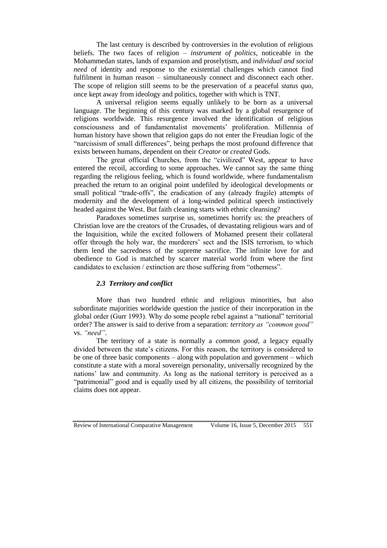The last century is described by controversies in the evolution of religious beliefs. The two faces of religion – *instrument of politics*, noticeable in the Mohammedan states, lands of expansion and proselytism, and *individual and social need* of identity and response to the existential challenges which cannot find fulfilment in human reason – simultaneously connect and disconnect each other. The scope of religion still seems to be the preservation of a peaceful *status quo*, once kept away from ideology and politics, together with which is TNT.

A universal religion seems equally unlikely to be born as a universal language. The beginning of this century was marked by a global resurgence of religions worldwide. This resurgence involved the identification of religious consciousness and of fundamentalist movements' proliferation. Millennia of human history have shown that religion gaps do not enter the Freudian logic of the "narcissism of small differences", being perhaps the most profound difference that exists between humans, dependent on their *Creator* or *created* Gods.

The great official Churches, from the "civilized" West, appear to have entered the recoil, according to some approaches. We cannot say the same thing regarding the religious feeling, which is found worldwide, where fundamentalism preached the return to an original point undefiled by ideological developments or small political "trade-offs", the eradication of any (already fragile) attempts of modernity and the development of a long-winded political speech instinctively headed against the West. But faith cleaning starts with ethnic cleansing?

Paradoxes sometimes surprise us, sometimes horrify us: the preachers of Christian love are the creators of the Crusades, of devastating religious wars and of the Inquisition, while the excited followers of Mohamed present their collateral offer through the holy war, the murderers' sect and the ISIS terrorism, to which them lend the sacredness of the supreme sacrifice. The infinite love for and obedience to God is matched by scarcer material world from where the first candidates to exclusion / extinction are those suffering from "otherness".

### *2.3 Territory and conflict*

More than two hundred ethnic and religious minorities, but also subordinate majorities worldwide question the justice of their incorporation in the global order (Gurr 1993). Why do some people rebel against a "national" territorial order? The answer is said to derive from a separation: *territory as "common good"* vs. *"need"*.

The territory of a state is normally a *common good*, a legacy equally divided between the state's citizens. For this reason, the territory is considered to be one of three basic components – along with population and government – which constitute a state with a moral sovereign personality, universally recognized by the nations' law and community. As long as the national territory is perceived as a "patrimonial" good and is equally used by all citizens, the possibility of territorial claims does not appear.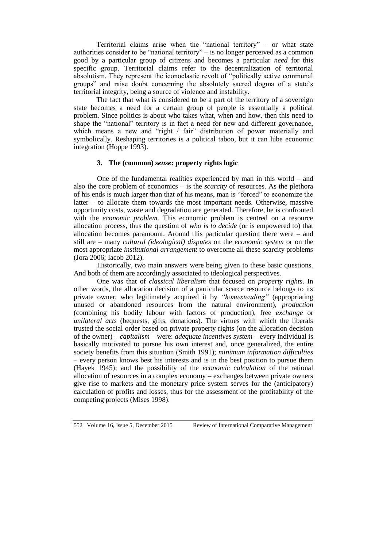Territorial claims arise when the "national territory" – or what state authorities consider to be "national territory" – is no longer perceived as a common good by a particular group of citizens and becomes a particular *need* for this specific group. Territorial claims refer to the decentralization of territorial absolutism. They represent the iconoclastic revolt of "politically active communal groups" and raise doubt concerning the absolutely sacred dogma of a state's territorial integrity, being a source of violence and instability.

The fact that what is considered to be a part of the territory of a sovereign state becomes a need for a certain group of people is essentially a political problem. Since politics is about who takes what, when and how, then this need to shape the "national" territory is in fact a need for new and different governance, which means a new and "right / fair" distribution of power materially and symbolically. Reshaping territories is a political taboo, but it can lube economic integration (Hoppe 1993).

### **3. The (common)** *sense***: property rights logic**

One of the fundamental realities experienced by man in this world – and also the core problem of economics – is the *scarcity* of resources. As the plethora of his ends is much larger than that of his means, man is "forced" to economize the latter – to allocate them towards the most important needs. Otherwise, massive opportunity costs, waste and degradation are generated. Therefore, he is confronted with the *economic problem*. This economic problem is centred on a resource allocation process, thus the question of *who is to decide* (or is empowered to) that allocation becomes paramount. Around this particular question there were – and still are – many *cultural (ideological) disputes* on the *economic system* or on the most appropriate *institutional arrangement* to overcome all these scarcity problems (Jora 2006; Iacob 2012).

Historically, two main answers were being given to these basic questions. And both of them are accordingly associated to ideological perspectives.

One was that of *classical liberalism* that focused on *property rights*. In other words, the allocation decision of a particular scarce resource belongs to its private owner, who legitimately acquired it by *"homesteading"* (appropriating unused or abandoned resources from the natural environment), *production*  (combining his bodily labour with factors of production), free *exchange* or *unilateral acts* (bequests, gifts, donations). The virtues with which the liberals trusted the social order based on private property rights (on the allocation decision of the owner) – *capitalism* – were: *adequate incentives system* – every individual is basically motivated to pursue his own interest and, once generalized, the entire society benefits from this situation (Smith 1991); *minimum information difficulties* – every person knows best his interests and is in the best position to pursue them (Hayek 1945); and the possibility of the *economic calculation* of the rational allocation of resources in a complex economy – exchanges between private owners give rise to markets and the monetary price system serves for the (anticipatory) calculation of profits and losses, thus for the assessment of the profitability of the competing projects (Mises 1998).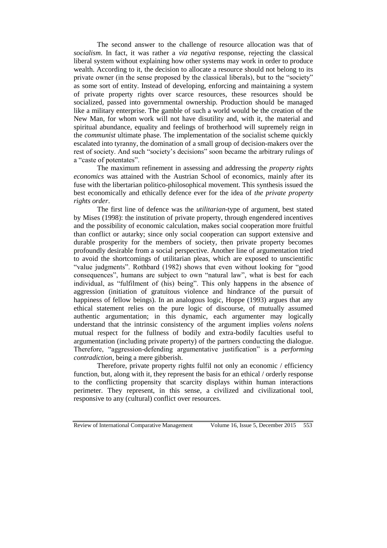The second answer to the challenge of resource allocation was that of *socialism*. In fact, it was rather a *via negativa* response, rejecting the classical liberal system without explaining how other systems may work in order to produce wealth. According to it, the decision to allocate a resource should not belong to its private owner (in the sense proposed by the classical liberals), but to the "society" as some sort of entity. Instead of developing, enforcing and maintaining a system of private property rights over scarce resources, these resources should be socialized, passed into governmental ownership. Production should be managed like a military enterprise. The gamble of such a world would be the creation of the New Man, for whom work will not have disutility and, with it, the material and spiritual abundance, equality and feelings of brotherhood will supremely reign in the *communist* ultimate phase. The implementation of the socialist scheme quickly escalated into tyranny, the domination of a small group of decision-makers over the rest of society. And such "society's decisions" soon became the arbitrary rulings of a "caste of potentates".

The maximum refinement in assessing and addressing the *property rights economics* was attained with the Austrian School of economics, mainly after its fuse with the libertarian politico-philosophical movement. This synthesis issued the best economically and ethically defence ever for the idea of *the private property rights order*.

The first line of defence was the *utilitarian*-type of argument, best stated by Mises (1998): the institution of private property, through engendered incentives and the possibility of economic calculation, makes social cooperation more fruitful than conflict or autarky; since only social cooperation can support extensive and durable prosperity for the members of society, then private property becomes profoundly desirable from a social perspective. Another line of argumentation tried to avoid the shortcomings of utilitarian pleas, which are exposed to unscientific "value judgments". Rothbard (1982) shows that even without looking for "good consequences", humans are subject to own "natural law", what is best for each individual, as "fulfilment of (his) being". This only happens in the absence of aggression (initiation of gratuitous violence and hindrance of the pursuit of happiness of fellow beings). In an analogous logic, Hoppe (1993) argues that any ethical statement relies on the pure logic of discourse, of mutually assumed authentic argumentation; in this dynamic, each argumenter may logically understand that the intrinsic consistency of the argument implies *volens nolens* mutual respect for the fullness of bodily and extra-bodily faculties useful to argumentation (including private property) of the partners conducting the dialogue. Therefore, "aggression-defending argumentative justification" is a *performing contradiction*, being a mere gibberish.

Therefore, private property rights fulfil not only an economic / efficiency function, but, along with it, they represent the basis for an ethical / orderly response to the conflicting propensity that scarcity displays within human interactions perimeter. They represent, in this sense, a civilized and civilizational tool, responsive to any (cultural) conflict over resources.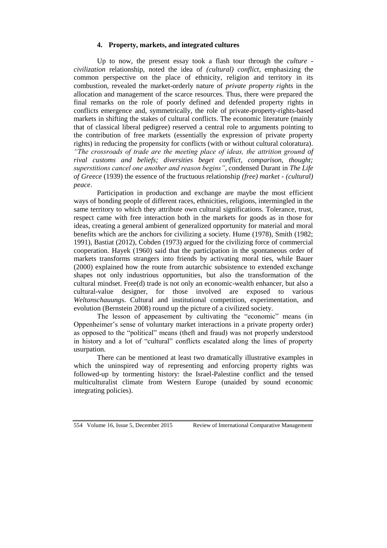### **4. Property, markets, and integrated cultures**

Up to now, the present essay took a flash tour through the *culture civilization* relationship, noted the idea of *(cultural) conflict*, emphasizing the common perspective on the place of ethnicity, religion and territory in its combustion, revealed the market-orderly nature of *private property rights* in the allocation and management of the scarce resources. Thus, there were prepared the final remarks on the role of poorly defined and defended property rights in conflicts emergence and, symmetrically, the role of private-property-rights-based markets in shifting the stakes of cultural conflicts. The economic literature (mainly that of classical liberal pedigree) reserved a central role to arguments pointing to the contribution of free markets (essentially the expression of private property rights) in reducing the propensity for conflicts (with or without cultural coloratura). *"The crossroads of trade are the meeting place of ideas, the attrition ground of rival customs and beliefs; diversities beget conflict, comparison, thought; superstitions cancel one another and reason begins"*, condensed Durant in *The Life of Greece* (1939) the essence of the fructuous relationship *(free) market - (cultural) peace*.

Participation in production and exchange are maybe the most efficient ways of bonding people of different races, ethnicities, religions, intermingled in the same territory to which they attribute own cultural significations. Tolerance, trust, respect came with free interaction both in the markets for goods as in those for ideas, creating a general ambient of generalized opportunity for material and moral benefits which are the anchors for civilizing a society. Hume (1978), Smith (1982; 1991), Bastiat (2012), Cobden (1973) argued for the civilizing force of commercial cooperation. Hayek (1960) said that the participation in the spontaneous order of markets transforms strangers into friends by activating moral ties, while Bauer (2000) explained how the route from autarchic subsistence to extended exchange shapes not only industrious opportunities, but also the transformation of the cultural mindset. Free(d) trade is not only an economic-wealth enhancer, but also a cultural-value designer, for those involved are exposed to various *Weltanschauung*s. Cultural and institutional competition, experimentation, and evolution (Bernstein 2008) round up the picture of a civilized society.

The lesson of appeasement by cultivating the "economic" means (in Oppenheimer's sense of voluntary market interactions in a private property order) as opposed to the "political" means (theft and fraud) was not properly understood in history and a lot of "cultural" conflicts escalated along the lines of property usurpation.

There can be mentioned at least two dramatically illustrative examples in which the uninspired way of representing and enforcing property rights was followed-up by tormenting history: the Israel-Palestine conflict and the tensed multiculturalist climate from Western Europe (unaided by sound economic integrating policies).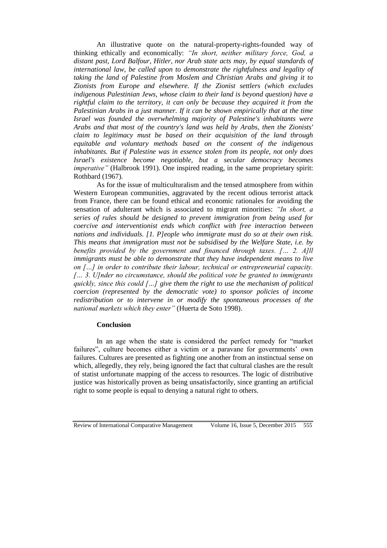An illustrative quote on the natural-property-rights-founded way of thinking ethically and economically: *"In short, neither military force, God, a distant past, Lord Balfour, Hitler, nor Arab state acts may, by equal standards of international law, be called upon to demonstrate the rightfulness and legality of taking the land of Palestine from Moslem and Christian Arabs and giving it to Zionists from Europe and elsewhere. If the Zionist settlers (which excludes indigenous Palestinian Jews, whose claim to their land is beyond question) have a rightful claim to the territory, it can only be because they acquired it from the Palestinian Arabs in a just manner. If it can be shown empirically that at the time Israel was founded the overwhelming majority of Palestine's inhabitants were Arabs and that most of the country's land was held by Arabs, then the Zionists' claim to legitimacy must be based on their acquisition of the land through equitable and voluntary methods based on the consent of the indigenous inhabitants. But if Palestine was in essence stolen from its people, not only does Israel's existence become negotiable, but a secular democracy becomes imperative"* (Halbrook 1991). One inspired reading, in the same proprietary spirit: Rothbard (1967).

As for the issue of multiculturalism and the tensed atmosphere from within Western European communities, aggravated by the recent odious terrorist attack from France, there can be found ethical and economic rationales for avoiding the sensation of adulterant which is associated to migrant minorities: *"In short, a series of rules should be designed to prevent immigration from being used for coercive and interventionist ends which conflict with free interaction between nations and individuals. [1. P]eople who immigrate must do so at their own risk. This means that immigration must not be subsidised by the Welfare State, i.e. by benefits provided by the government and financed through taxes. [… 2. A]ll immigrants must be able to demonstrate that they have independent means to live on […] in order to contribute their labour, technical or entrepreneurial capacity. [… 3. U]nder no circumstance, should the political vote be granted to immigrants quickly, since this could […] give them the right to use the mechanism of political coercion (represented by the democratic vote) to sponsor policies of income redistribution or to intervene in or modify the spontaneous processes of the national markets which they enter"* (Huerta de Soto 1998).

#### **Conclusion**

In an age when the state is considered the perfect remedy for "market failures", culture becomes either a victim or a paravane for governments' own failures. Cultures are presented as fighting one another from an instinctual sense on which, allegedly, they rely, being ignored the fact that cultural clashes are the result of statist unfortunate mapping of the access to resources. The logic of distributive justice was historically proven as being unsatisfactorily, since granting an artificial right to some people is equal to denying a natural right to others.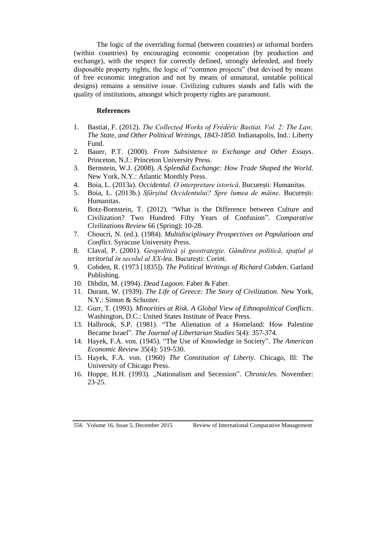The logic of the overriding formal (between countries) or informal borders (within countries) by encouraging economic cooperation (by production and exchange), with the respect for correctly defined, strongly defended, and freely disposable property rights, the logic of "common projects" (but devised by means of free economic integration and not by means of unnatural, unstable political designs) remains a sensitive issue. Civilizing cultures stands and falls with the quality of institutions, amongst which property rights are paramount.

### **References**

- 1. Bastiat, F. (2012). *The Collected Works of Frédéric Bastiat. Vol. 2: The Law, The State, and Other Political Writings, 1843-1850*. Indianapolis, Ind.: Liberty Fund.
- 2. Bauer, P.T. (2000). *From Subsistence to Exchange and Other Essays*. Princeton, N.J.: Princeton University Press.
- 3. Bernstein, W.J. (2008). *A Splendid Exchange: How Trade Shaped the World*. New York, N.Y.: Atlantic Monthly Press.
- 4. Boia, L. (2013a). *Occidentul. O interpretare istorică*. București: Humanitas.
- 5. Boia, L. (2013b.) *Sfârșitul Occidentului? Spre lumea de mâine*. București: Humanitas.
- 6. Botz-Bornstein, T. (2012). "What is the Difference between Culture and Civilization? Two Hundred Fifty Years of Confusion". *Comparative Civilizations Review* 66 (Spring): 10-28.
- 7. Choucri, N. (ed.). (1984). *Multidisciplinary Prospectives on Populatioan and Conflict*. Syracuse University Press.
- 8. Claval, P. (2001). *Geopolitică și geostrategie. Gândirea politică, spațiul și teritoriul în secolul al XX-lea*. București: Corint.
- 9. Cobden, R. (1973 [1835]). *The Political Writings of Richard Cobden*. Garland Publishing.
- 10. Dibdin, M. (1994). *Dead Lagoon*. Faber & Faber.
- 11. Durant, W. (1939). *The Life of Greece: The Story of Civilization*. New York, N.Y.: Simon & Schuster.
- 12. Gurr, T. (1993). *Minorities at Risk. A Global View of Ethnopolitical Conflicts*. Washington, D.C.: United States Institute of Peace Press.
- 13. Halbrook, S.P. (1981). "The Alienation of a Homeland: How Palestine Became Israel". *The Journal of Libertarian Studies* 5(4): 357-374.
- 14. Hayek, F.A. von. (1945). "The Use of Knowledge in Society". *The American Economic Review* 35(4): 519-530.
- 15. Hayek, F.A. von. (1960) *The Constitution of Liberty*. Chicago, Ill: The University of Chicago Press.
- 16. Hoppe, H.H. (1993). "Nationalism and Secession". *Chronicles*. November: 23-25.